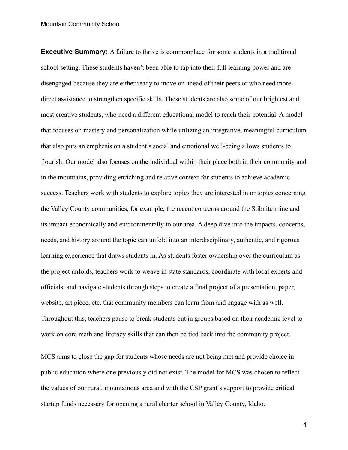**Executive Summary:** A failure to thrive is commonplace for some students in a traditional school setting. These students haven't been able to tap into their full learning power and are disengaged because they are either ready to move on ahead of their peers or who need more direct assistance to strengthen specific skills. These students are also some of our brightest and most creative students, who need a different educational model to reach their potential. A model that focuses on mastery and personalization while utilizing an integrative, meaningful curriculum that also puts an emphasis on a student's social and emotional well-being allows students to flourish. Our model also focuses on the individual within their place both in their community and in the mountains, providing enriching and relative context for students to achieve academic success. Teachers work with students to explore topics they are interested in or topics concerning the Valley County communities, for example, the recent concerns around the Stibnite mine and its impact economically and environmentally to our area. A deep dive into the impacts, concerns, needs, and history around the topic can unfold into an interdisciplinary, authentic, and rigorous learning experience that draws students in. As students foster ownership over the curriculum as the project unfolds, teachers work to weave in state standards, coordinate with local experts and officials, and navigate students through steps to create a final project of a presentation, paper, website, art piece, etc. that community members can learn from and engage with as well. Throughout this, teachers pause to break students out in groups based on their academic level to work on core math and literacy skills that can then be tied back into the community project.

MCS aims to close the gap for students whose needs are not being met and provide choice in public education where one previously did not exist. The model for MCS was chosen to reflect the values of our rural, mountainous area and with the CSP grant's support to provide critical startup funds necessary for opening a rural charter school in Valley County, Idaho.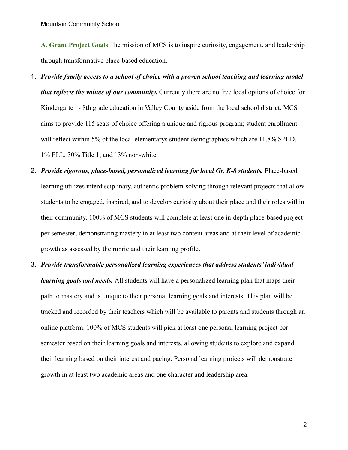**A. Grant Project Goals** The mission of MCS is to inspire curiosity, engagement, and leadership through transformative place-based education.

- 1. *Provide family access to a school of choice with a proven school teaching and learning model that reflects the values of our community.* Currently there are no free local options of choice for Kindergarten - 8th grade education in Valley County aside from the local school district. MCS aims to provide 115 seats of choice offering a unique and rigrous program; student enrollment will reflect within 5% of the local elementarys student demographics which are 11.8% SPED, 1% ELL, 30% Title 1, and 13% non-white.
- 2. *Provide rigorous, place-based, personalized learning for local Gr. K-8 students.* Place-based learning utilizes interdisciplinary, authentic problem-solving through relevant projects that allow students to be engaged, inspired, and to develop curiosity about their place and their roles within their community. 100% of MCS students will complete at least one in-depth place-based project per semester; demonstrating mastery in at least two content areas and at their level of academic growth as assessed by the rubric and their learning profile.
- 3. *Provide transformable personalized learning experiences that address students' individual learning goals and needs.* All students will have a personalized learning plan that maps their path to mastery and is unique to their personal learning goals and interests. This plan will be tracked and recorded by their teachers which will be available to parents and students through an online platform. 100% of MCS students will pick at least one personal learning project per semester based on their learning goals and interests, allowing students to explore and expand their learning based on their interest and pacing. Personal learning projects will demonstrate growth in at least two academic areas and one character and leadership area.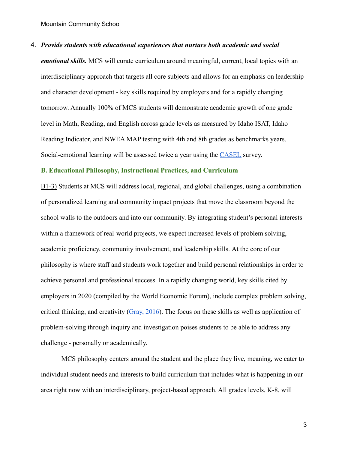## 4. *Provide students with educational experiences that nurture both academic and social*

*emotional skills.* MCS will curate curriculum around meaningful, current, local topics with an interdisciplinary approach that targets all core subjects and allows for an emphasis on leadership and character development - key skills required by employers and for a rapidly changing tomorrow. Annually 100% of MCS students will demonstrate academic growth of one grade level in Math, Reading, and English across grade levels as measured by Idaho ISAT, Idaho Reading Indicator, and NWEA MAP testing with 4th and 8th grades as benchmarks years. Social-emotional learning will be assessed twice a year using the [CASEL](https://casel.org/) survey.

# **B. Educational Philosophy, Instructional Practices, and Curriculum**

B1-3) Students at MCS will address local, regional, and global challenges, using a combination of personalized learning and community impact projects that move the classroom beyond the school walls to the outdoors and into our community. By integrating student's personal interests within a framework of real-world projects, we expect increased levels of problem solving, academic proficiency, community involvement, and leadership skills. At the core of our philosophy is where staff and students work together and build personal relationships in order to achieve personal and professional success. In a rapidly changing world, key skills cited by employers in 2020 (compiled by the World Economic Forum), include complex problem solving, critical thinking, and creativity ([Gray, 2016](https://www.weforum.org/agenda/2016/01/the-10-skills-you-need-to-thrive-in-the-fourth-industrial-revolution/)). The focus on these skills as well as application of problem-solving through inquiry and investigation poises students to be able to address any challenge - personally or academically.

MCS philosophy centers around the student and the place they live, meaning, we cater to individual student needs and interests to build curriculum that includes what is happening in our area right now with an interdisciplinary, project-based approach. All grades levels, K-8, will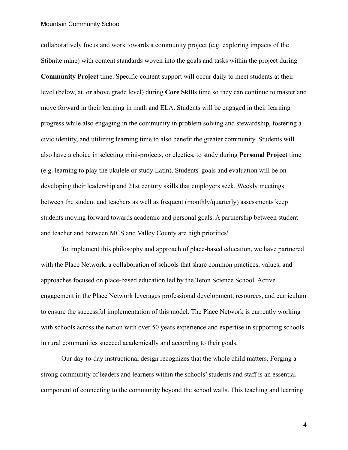collaboratively focus and work towards a community project (e.g. exploring impacts of the Stibnite mine) with content standards woven into the goals and tasks within the project during **Community Project** time. Specific content support will occur daily to meet students at their level (below, at, or above grade level) during **Core Skills** time so they can continue to master and move forward in their learning in math and ELA. Students will be engaged in their learning progress while also engaging in the community in problem solving and stewardship, fostering a civic identity, and utilizing learning time to also benefit the greater community. Students will also have a choice in selecting mini-projects, or electies, to study during **Personal Project** time (e.g. learning to play the ukulele or study Latin). Students' goals and evaluation will be on developing their leadership and 21st century skills that employers seek. Weekly meetings between the student and teachers as well as frequent (monthly/quarterly) assessments keep students moving forward towards academic and personal goals. A partnership between student and teacher and between MCS and Valley County are high priorities!

To implement this philosophy and approach of place-based education, we have partnered with the Place Network, a collaboration of schools that share common practices, values, and approaches focused on place-based education led by the Teton Science School. Active engagement in the Place Network leverages professional development, resources, and curriculum to ensure the successful implementation of this model. The Place Network is currently working with schools across the nation with over 50 years experience and expertise in supporting schools in rural communities succeed academically and according to their goals.

Our day-to-day instructional design recognizes that the whole child matters. Forging a strong community of leaders and learners within the schools' students and staff is an essential component of connecting to the community beyond the school walls. This teaching and learning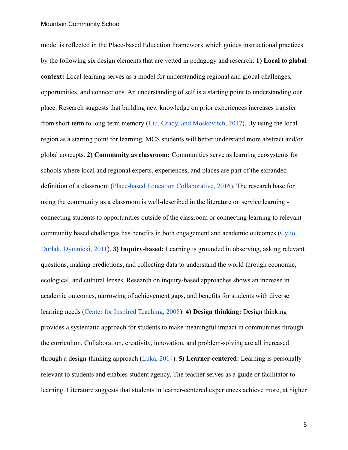model is reflected in the Place-based Education Framework which guides instructional practices by the following six design elements that are vetted in pedagogy and research: **1) Local to global context:** Local learning serves as a model for understanding regional and global challenges, opportunities, and connections. An understanding of self is a starting point to understanding our place. Research suggests that building new knowledge on prior experiences increases transfer from short-term to long-term memory (Liu, Grady, and [Moskovitch, 2017](https://www.ncbi.nlm.nih.gov/pubmed/26941384)). By using the local region as a starting point for learning, MCS students will better understand more abstract and/or global concepts. **2) Community as classroom:** Communities serve as learning ecosystems for schools where local and regional experts, experiences, and places are part of the expanded definition of a classroom ([Place-based Education Collaborative,](http://www.peecworks.org/index) 2016). The research base for using the community as a classroom is well-described in the literature on service learning connecting students to opportunities outside of the classroom or connecting learning to relevant community based challenges has benefits in both engagement and academic outcomes ([Cylio,](https://static1.squarespace.com/static/5ac64927ec4eb777b6e55402/t/5add206388251bb54e38f69b/1524441187887/Celio_Durlak_Dymnicki_2011_Serv_learn.pdf) [Durlak, Dymnicki, 2011\)](https://static1.squarespace.com/static/5ac64927ec4eb777b6e55402/t/5add206388251bb54e38f69b/1524441187887/Celio_Durlak_Dymnicki_2011_Serv_learn.pdf). **3) Inquiry-based:** Learning is grounded in observing, asking relevant questions, making predictions, and collecting data to understand the world through economic, ecological, and cultural lenses. Research on inquiry-based approaches shows an increase in academic outcomes, narrowing of achievement gaps, and benefits for students with diverse learning needs ([Center for Inspired Teaching, 2008\)](http://inspiredteaching.org/wp-content/uploads/impact-research-briefs-inquiry-based-teaching.pdf). **4) Design thinking:** Design thinking provides a systematic approach for students to make meaningful impact in communities through the curriculum. Collaboration, creativity, innovation, and problem-solving are all increased through a design-thinking approach ([Luka, 2014\)](http://nowadays.home.pl/JECS/data/documents/JECS=202014=20=282=29=2063.74.pdf). **5) Learner-centered:** Learning is personally relevant to students and enables student agency. The teacher serves as a guide or facilitator to learning. Literature suggests that students in learner-centered experiences achieve more, at higher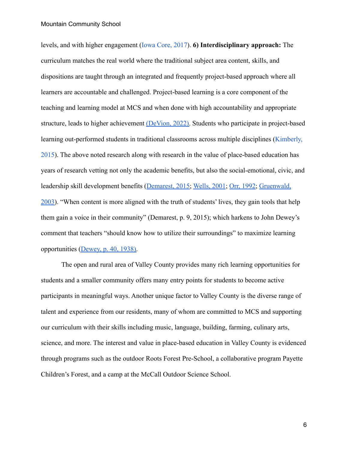levels, and with higher engagement [\(Iowa Core, 2017\)](http://web1.gwaea.org/iowacorecurriculum/docs/StudCentClass_LitReview.pdf). **6) Interdisciplinary approach:** The curriculum matches the real world where the traditional subject area content, skills, and dispositions are taught through an integrated and frequently project-based approach where all learners are accountable and challenged. Project-based learning is a core component of the teaching and learning model at MCS and when done with high accountability and appropriate structure, leads to higher achievement [\(DeVion, 2022\).](https://aurora-institute.org/cw_post/pairing-competency-based-education-with-project-based-learning-makes-for-a-powerful-learning-experience/?utm_campaign=Bright%20Spots%20Newsletter&utm_medium=email&_hsmi=211379170&_hsenc=p2ANqtz-86um0Of17JGcnvKTR62WO8nwiLNFcH1wlfSRQebxMzvPYecwgTg7ISJaaGLdV0KbGoC7cPczt_USl5Wx9_yTnQBzVlvDUeSTMq4kizlfuIxKXX_3k&utm_content=211379170&utm_source=hs_email) Students who participate in project-based learning out-performed students in traditional classrooms across multiple disciplines ([Kimberly,](https://digitalcommons.spu.edu/soe_etd/7/) [2015](https://digitalcommons.spu.edu/soe_etd/7/)). The above noted research along with research in the value of place-based education has years of research vetting not only the academic benefits, but also the social-emotional, civic, and leadership skill development benefits ([Demarest, 2015;](https://www.taylorfrancis.com/books/9781315795195) [Wells, 2001](https://pdfs.semanticscholar.org/df38/648f79104032c2ba4f654b092f4f4681420e.pdf); [Orr, 1992;](https://books.google.com/books/about/Ecological_Literacy.html?id=aiRBTwqDvZ0C) [Gruenwald,](https://books.google.com/books?id=qa7QDwAAQBAJ&pg=PA286&dq=Gruenwald+2003+article+place-based&hl=en&newbks=1&newbks_redir=0&sa=X&ved=2ahUKEwjKtISNo4HoAhUPpZ4KHfyVCxIQ6AEwA3oECAAQAg#v=onepage&q=Gruenwald%202003%20article%20place-based&f=false) [2003](https://books.google.com/books?id=qa7QDwAAQBAJ&pg=PA286&dq=Gruenwald+2003+article+place-based&hl=en&newbks=1&newbks_redir=0&sa=X&ved=2ahUKEwjKtISNo4HoAhUPpZ4KHfyVCxIQ6AEwA3oECAAQAg#v=onepage&q=Gruenwald%202003%20article%20place-based&f=false)). "When content is more aligned with the truth of students' lives, they gain tools that help them gain a voice in their community" (Demarest, p. 9, 2015); which harkens to John Dewey's comment that teachers "should know how to utilize their surroundings" to maximize learning opportunities [\(Dewey, p. 40, 1938\).](https://books.google.com/books?id=JhjPK4FKpCcC&printsec=frontcover&dq=Dewey+1938&hl=en&newbks=1&newbks_redir=0&sa=X&ved=2ahUKEwjEkeOoo4HoAhWVqp4KHdZXBC8Q6AEwAHoECAYQAg#v=onepage&q=Dewey%201938&f=false)

The open and rural area of Valley County provides many rich learning opportunities for students and a smaller community offers many entry points for students to become active participants in meaningful ways. Another unique factor to Valley County is the diverse range of talent and experience from our residents, many of whom are committed to MCS and supporting our curriculum with their skills including music, language, building, farming, culinary arts, science, and more. The interest and value in place-based education in Valley County is evidenced through programs such as the outdoor Roots Forest Pre-School, a collaborative program Payette Children's Forest, and a camp at the McCall Outdoor Science School.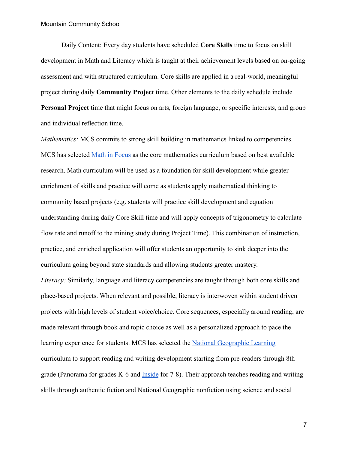Daily Content: Every day students have scheduled **Core Skills** time to focus on skill development in Math and Literacy which is taught at their achievement levels based on on-going assessment and with structured curriculum. Core skills are applied in a real-world, meaningful project during daily **Community Project** time. Other elements to the daily schedule include **Personal Project** time that might focus on arts, foreign language, or specific interests, and group and individual reflection time.

*Mathematics:* MCS commits to strong skill building in mathematics linked to competencies. MCS has selected [Math in Focus](https://www.evidenceforessa.org/programs/math/elementary/math-focus) as the core mathematics curriculum based on best available research. Math curriculum will be used as a foundation for skill development while greater enrichment of skills and practice will come as students apply mathematical thinking to community based projects (e.g. students will practice skill development and equation understanding during daily Core Skill time and will apply concepts of trigonometry to calculate flow rate and runoff to the mining study during Project Time). This combination of instruction, practice, and enriched application will offer students an opportunity to sink deeper into the curriculum going beyond state standards and allowing students greater mastery.

*Literacy:* Similarly, language and literacy competencies are taught through both core skills and place-based projects. When relevant and possible, literacy is interwoven within student driven projects with high levels of student voice/choice. Core sequences, especially around reading, are made relevant through book and topic choice as well as a personalized approach to pace the learning experience for students. MCS has selected the [National Geographic Learning](https://ngl.cengage.com/search/productOverview.do?Ntt=panorama%7C246356176134950394720190903065725774&N=4294918395+201&Ntk=NGL%7CP_EPI&Ntx=mode+matchallpartial&homePage=false) curriculum to support reading and writing development starting from pre-readers through 8th grade (Panorama for grades K-6 and [Inside](https://ngl.cengage.com/search/productOverview.do?N=201+4294918395&Ntk=NGL%7CP_EPI&Ntt=inside%7C10020965574432922948828472272043522827&Ntx=mode%2Bmatchallpartial&homePage=false) for 7-8). Their approach teaches reading and writing skills through authentic fiction and National Geographic nonfiction using science and social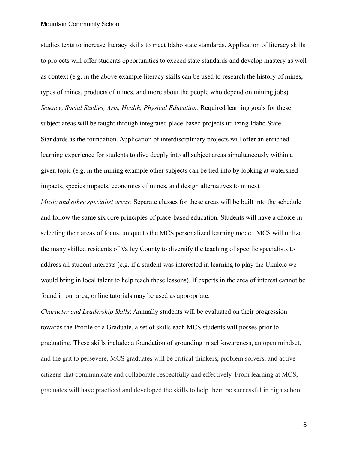studies texts to increase literacy skills to meet Idaho state standards. Application of literacy skills to projects will offer students opportunities to exceed state standards and develop mastery as well as context (e.g. in the above example literacy skills can be used to research the history of mines, types of mines, products of mines, and more about the people who depend on mining jobs). *Science, Social Studies, Arts, Health, Physical Education*: Required learning goals for these subject areas will be taught through integrated place-based projects utilizing Idaho State Standards as the foundation. Application of interdisciplinary projects will offer an enriched learning experience for students to dive deeply into all subject areas simultaneously within a given topic (e.g. in the mining example other subjects can be tied into by looking at watershed impacts, species impacts, economics of mines, and design alternatives to mines).

*Music and other specialist areas:* Separate classes for these areas will be built into the schedule and follow the same six core principles of place-based education. Students will have a choice in selecting their areas of focus, unique to the MCS personalized learning model. MCS will utilize the many skilled residents of Valley County to diversify the teaching of specific specialists to address all student interests (e.g. if a student was interested in learning to play the Ukulele we would bring in local talent to help teach these lessons). If experts in the area of interest cannot be found in our area, online tutorials may be used as appropriate.

*Character and Leadership Skills*: Annually students will be evaluated on their progression towards the Profile of a Graduate, a set of skills each MCS students will posses prior to graduating. These skills include: a foundation of grounding in self-awareness, an open mindset, and the grit to persevere, MCS graduates will be critical thinkers, problem solvers, and active citizens that communicate and collaborate respectfully and effectively. From learning at MCS, graduates will have practiced and developed the skills to help them be successful in high school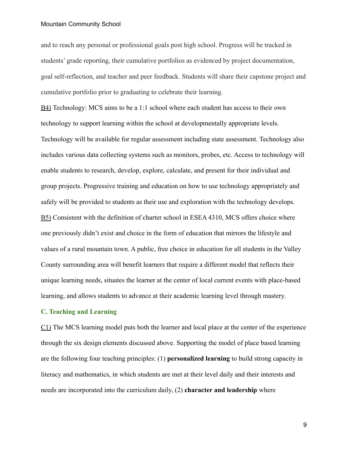and to reach any personal or professional goals post high school. Progress will be tracked in students' grade reporting, their cumulative portfolios as evidenced by project documentation, goal self-reflection, and teacher and peer feedback. Students will share their capstone project and cumulative portfolio prior to graduating to celebrate their learning.

B4) Technology: MCS aims to be a 1:1 school where each student has access to their own technology to support learning within the school at developmentally appropriate levels. Technology will be available for regular assessment including state assessment. Technology also includes various data collecting systems such as monitors, probes, etc. Access to technology will enable students to research, develop, explore, calculate, and present for their individual and group projects. Progressive training and education on how to use technology appropriately and safely will be provided to students as their use and exploration with the technology develops. B5) Consistent with the definition of charter school in ESEA 4310, MCS offers choice where one previously didn't exist and choice in the form of education that mirrors the lifestyle and values of a rural mountain town. A public, free choice in education for all students in the Valley County surrounding area will benefit learners that require a different model that reflects their unique learning needs, situates the learner at the center of local current events with place-based learning, and allows students to advance at their academic learning level through mastery.

# **C. Teaching and Learning**

C1) The MCS learning model puts both the learner and local place at the center of the experience through the six design elements discussed above. Supporting the model of place based learning are the following four teaching principles: (1) **personalized learning** to build strong capacity in literacy and mathematics, in which students are met at their level daily and their interests and needs are incorporated into the curriculum daily, (2) **character and leadership** where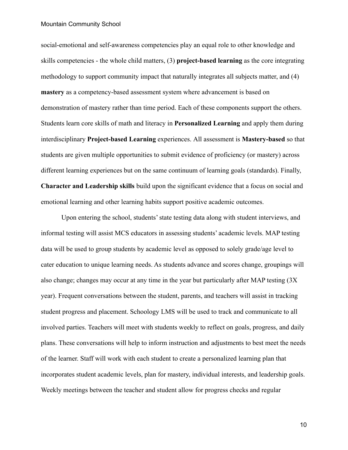social-emotional and self-awareness competencies play an equal role to other knowledge and skills competencies - the whole child matters, (3) **project-based learning** as the core integrating methodology to support community impact that naturally integrates all subjects matter, and (4) **mastery** as a competency-based assessment system where advancement is based on demonstration of mastery rather than time period. Each of these components support the others. Students learn core skills of math and literacy in **Personalized Learning** and apply them during interdisciplinary **Project-based Learning** experiences. All assessment is **Mastery-based** so that students are given multiple opportunities to submit evidence of proficiency (or mastery) across different learning experiences but on the same continuum of learning goals (standards). Finally, **Character and Leadership skills** build upon the significant evidence that a focus on social and emotional learning and other learning habits support positive academic outcomes.

Upon entering the school, students' state testing data along with student interviews, and informal testing will assist MCS educators in assessing students' academic levels. MAP testing data will be used to group students by academic level as opposed to solely grade/age level to cater education to unique learning needs. As students advance and scores change, groupings will also change; changes may occur at any time in the year but particularly after MAP testing (3X year). Frequent conversations between the student, parents, and teachers will assist in tracking student progress and placement. Schoology LMS will be used to track and communicate to all involved parties. Teachers will meet with students weekly to reflect on goals, progress, and daily plans. These conversations will help to inform instruction and adjustments to best meet the needs of the learner. Staff will work with each student to create a personalized learning plan that incorporates student academic levels, plan for mastery, individual interests, and leadership goals. Weekly meetings between the teacher and student allow for progress checks and regular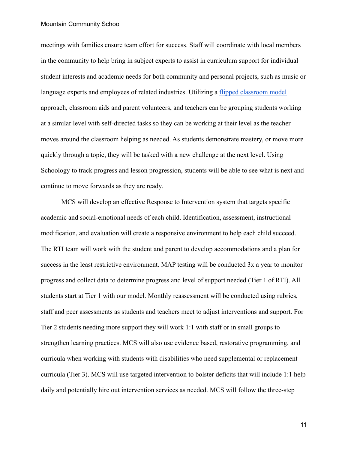meetings with families ensure team effort for success. Staff will coordinate with local members in the community to help bring in subject experts to assist in curriculum support for individual student interests and academic needs for both community and personal projects, such as music or language experts and employees of related industries. Utilizing a [flipped classroom model](https://omerad.msu.edu/teaching/teaching-skills-strategies/27-teaching/162-what-why-and-how-to-implement-a-flipped-classroom-model) approach, classroom aids and parent volunteers, and teachers can be grouping students working at a similar level with self-directed tasks so they can be working at their level as the teacher moves around the classroom helping as needed. As students demonstrate mastery, or move more quickly through a topic, they will be tasked with a new challenge at the next level. Using Schoology to track progress and lesson progression, students will be able to see what is next and continue to move forwards as they are ready.

MCS will develop an effective Response to Intervention system that targets specific academic and social-emotional needs of each child. Identification, assessment, instructional modification, and evaluation will create a responsive environment to help each child succeed. The RTI team will work with the student and parent to develop accommodations and a plan for success in the least restrictive environment. MAP testing will be conducted 3x a year to monitor progress and collect data to determine progress and level of support needed (Tier 1 of RTI). All students start at Tier 1 with our model. Monthly reassessment will be conducted using rubrics, staff and peer assessments as students and teachers meet to adjust interventions and support. For Tier 2 students needing more support they will work 1:1 with staff or in small groups to strengthen learning practices. MCS will also use evidence based, restorative programming, and curricula when working with students with disabilities who need supplemental or replacement curricula (Tier 3). MCS will use targeted intervention to bolster deficits that will include 1:1 help daily and potentially hire out intervention services as needed. MCS will follow the three-step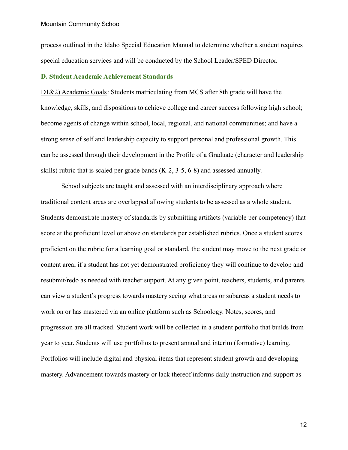process outlined in the Idaho Special Education Manual to determine whether a student requires special education services and will be conducted by the School Leader/SPED Director.

# **D. Student Academic Achievement Standards**

D1&2) Academic Goals: Students matriculating from MCS after 8th grade will have the knowledge, skills, and dispositions to achieve college and career success following high school; become agents of change within school, local, regional, and national communities; and have a strong sense of self and leadership capacity to support personal and professional growth. This can be assessed through their development in the Profile of a Graduate (character and leadership skills) rubric that is scaled per grade bands (K-2, 3-5, 6-8) and assessed annually.

School subjects are taught and assessed with an interdisciplinary approach where traditional content areas are overlapped allowing students to be assessed as a whole student. Students demonstrate mastery of standards by submitting artifacts (variable per competency) that score at the proficient level or above on standards per established rubrics. Once a student scores proficient on the rubric for a learning goal or standard, the student may move to the next grade or content area; if a student has not yet demonstrated proficiency they will continue to develop and resubmit/redo as needed with teacher support. At any given point, teachers, students, and parents can view a student's progress towards mastery seeing what areas or subareas a student needs to work on or has mastered via an online platform such as Schoology. Notes, scores, and progression are all tracked. Student work will be collected in a student portfolio that builds from year to year. Students will use portfolios to present annual and interim (formative) learning. Portfolios will include digital and physical items that represent student growth and developing mastery. Advancement towards mastery or lack thereof informs daily instruction and support as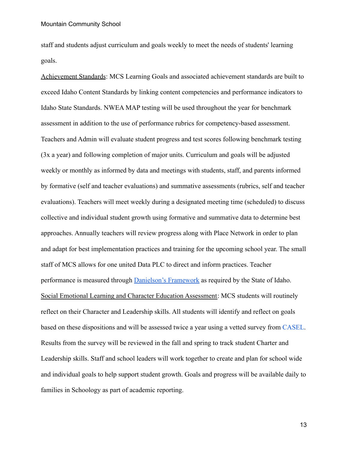staff and students adjust curriculum and goals weekly to meet the needs of students' learning goals.

Achievement Standards: MCS Learning Goals and associated achievement standards are built to exceed Idaho Content Standards by linking content competencies and performance indicators to Idaho State Standards. NWEA MAP testing will be used throughout the year for benchmark assessment in addition to the use of performance rubrics for competency-based assessment. Teachers and Admin will evaluate student progress and test scores following benchmark testing (3x a year) and following completion of major units. Curriculum and goals will be adjusted weekly or monthly as informed by data and meetings with students, staff, and parents informed by formative (self and teacher evaluations) and summative assessments (rubrics, self and teacher evaluations). Teachers will meet weekly during a designated meeting time (scheduled) to discuss collective and individual student growth using formative and summative data to determine best approaches. Annually teachers will review progress along with Place Network in order to plan and adapt for best implementation practices and training for the upcoming school year. The small staff of MCS allows for one united Data PLC to direct and inform practices. Teacher performance is measured through [Danielson's Framework](https://danielsongroup.org/framework/) as required by the State of Idaho. Social Emotional Learning and Character Education Assessment: MCS students will routinely reflect on their Character and Leadership skills. All students will identify and reflect on goals based on these dispositions and will be assessed twice a year using a vetted survey from [CASEL](https://casel.org/). Results from the survey will be reviewed in the fall and spring to track student Charter and Leadership skills. Staff and school leaders will work together to create and plan for school wide and individual goals to help support student growth. Goals and progress will be available daily to families in Schoology as part of academic reporting.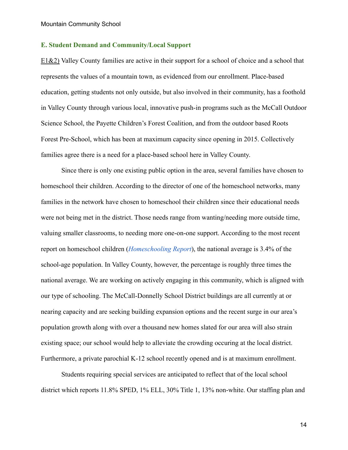# **E. Student Demand and Community/Local Support**

E1&2) Valley County families are active in their support for a school of choice and a school that represents the values of a mountain town, as evidenced from our enrollment. Place-based education, getting students not only outside, but also involved in their community, has a foothold in Valley County through various local, innovative push-in programs such as the McCall Outdoor Science School, the Payette Children's Forest Coalition, and from the outdoor based Roots Forest Pre-School, which has been at maximum capacity since opening in 2015. Collectively families agree there is a need for a place-based school here in Valley County.

Since there is only one existing public option in the area, several families have chosen to homeschool their children. According to the director of one of the homeschool networks, many families in the network have chosen to homeschool their children since their educational needs were not being met in the district. Those needs range from wanting/needing more outside time, valuing smaller classrooms, to needing more one-on-one support. According to the most recent report on homeschool children (*[Homeschooling Report](https://nces.ed.gov/pubs2016/2016096rev.pdf)*), the national average is 3.4% of the school-age population. In Valley County, however, the percentage is roughly three times the national average. We are working on actively engaging in this community, which is aligned with our type of schooling. The McCall-Donnelly School District buildings are all currently at or nearing capacity and are seeking building expansion options and the recent surge in our area's population growth along with over a thousand new homes slated for our area will also strain existing space; our school would help to alleviate the crowding occuring at the local district. Furthermore, a private parochial K-12 school recently opened and is at maximum enrollment.

Students requiring special services are anticipated to reflect that of the local school district which reports 11.8% SPED, 1% ELL, 30% Title 1, 13% non-white. Our staffing plan and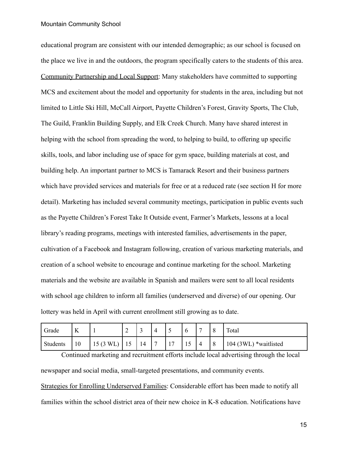educational program are consistent with our intended demographic; as our school is focused on the place we live in and the outdoors, the program specifically caters to the students of this area. Community Partnership and Local Support: Many stakeholders have committed to supporting MCS and excitement about the model and opportunity for students in the area, including but not limited to Little Ski Hill, McCall Airport, Payette Children's Forest, Gravity Sports, The Club, The Guild, Franklin Building Supply, and Elk Creek Church. Many have shared interest in helping with the school from spreading the word, to helping to build, to offering up specific skills, tools, and labor including use of space for gym space, building materials at cost, and building help. An important partner to MCS is Tamarack Resort and their business partners which have provided services and materials for free or at a reduced rate (see section H for more detail). Marketing has included several community meetings, participation in public events such as the Payette Children's Forest Take It Outside event, Farmer's Markets, lessons at a local library's reading programs, meetings with interested families, advertisements in the paper, cultivation of a Facebook and Instagram following, creation of various marketing materials, and creation of a school website to encourage and continue marketing for the school. Marketing materials and the website are available in Spanish and mailers were sent to all local residents with school age children to inform all families (underserved and diverse) of our opening. Our lottery was held in April with current enrollment still growing as to date.

| Grade    | <b>T</b><br>V |                    | ∽  | ້  | 4              | ັ  | $\mathbf b$ | −              | O<br>O | Total                 |
|----------|---------------|--------------------|----|----|----------------|----|-------------|----------------|--------|-----------------------|
| Students | 10            | $15(3 \text{ WL})$ | 10 | 14 | $\overline{ }$ | 17 | -<br>19     | $\overline{4}$ | 8      | 104 (3WL) *waitlisted |

Continued marketing and recruitment efforts include local advertising through the local newspaper and social media, small-targeted presentations, and community events.

Strategies for Enrolling Underserved Families: Considerable effort has been made to notify all families within the school district area of their new choice in K-8 education. Notifications have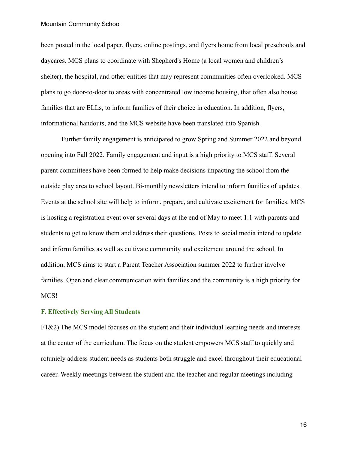been posted in the local paper, flyers, online postings, and flyers home from local preschools and daycares. MCS plans to coordinate with Shepherd's Home (a local women and children's shelter), the hospital, and other entities that may represent communities often overlooked. MCS plans to go door-to-door to areas with concentrated low income housing, that often also house families that are ELLs, to inform families of their choice in education. In addition, flyers, informational handouts, and the MCS website have been translated into Spanish.

Further family engagement is anticipated to grow Spring and Summer 2022 and beyond opening into Fall 2022. Family engagement and input is a high priority to MCS staff. Several parent committees have been formed to help make decisions impacting the school from the outside play area to school layout. Bi-monthly newsletters intend to inform families of updates. Events at the school site will help to inform, prepare, and cultivate excitement for families. MCS is hosting a registration event over several days at the end of May to meet 1:1 with parents and students to get to know them and address their questions. Posts to social media intend to update and inform families as well as cultivate community and excitement around the school. In addition, MCS aims to start a Parent Teacher Association summer 2022 to further involve families. Open and clear communication with families and the community is a high priority for MCS!

# **F. Effectively Serving All Students**

F1&2) The MCS model focuses on the student and their individual learning needs and interests at the center of the curriculum. The focus on the student empowers MCS staff to quickly and rotuniely address student needs as students both struggle and excel throughout their educational career. Weekly meetings between the student and the teacher and regular meetings including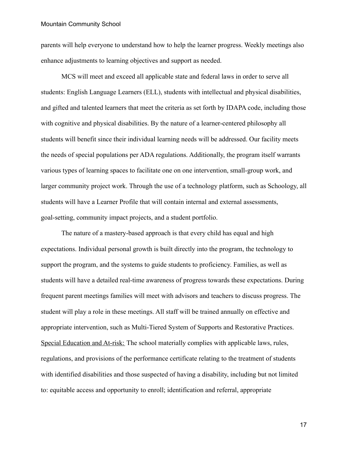parents will help everyone to understand how to help the learner progress. Weekly meetings also enhance adjustments to learning objectives and support as needed.

MCS will meet and exceed all applicable state and federal laws in order to serve all students: English Language Learners (ELL), students with intellectual and physical disabilities, and gifted and talented learners that meet the criteria as set forth by IDAPA code, including those with cognitive and physical disabilities. By the nature of a learner-centered philosophy all students will benefit since their individual learning needs will be addressed. Our facility meets the needs of special populations per ADA regulations. Additionally, the program itself warrants various types of learning spaces to facilitate one on one intervention, small-group work, and larger community project work. Through the use of a technology platform, such as Schoology, all students will have a Learner Profile that will contain internal and external assessments, goal-setting, community impact projects, and a student portfolio.

The nature of a mastery-based approach is that every child has equal and high expectations. Individual personal growth is built directly into the program, the technology to support the program, and the systems to guide students to proficiency. Families, as well as students will have a detailed real-time awareness of progress towards these expectations. During frequent parent meetings families will meet with advisors and teachers to discuss progress. The student will play a role in these meetings. All staff will be trained annually on effective and appropriate intervention, such as Multi-Tiered System of Supports and Restorative Practices. Special Education and At-risk: The school materially complies with applicable laws, rules, regulations, and provisions of the performance certificate relating to the treatment of students with identified disabilities and those suspected of having a disability, including but not limited to: equitable access and opportunity to enroll; identification and referral, appropriate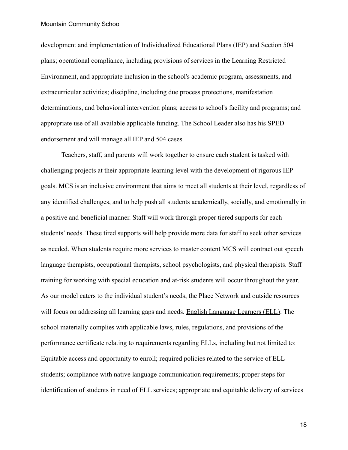development and implementation of Individualized Educational Plans (IEP) and Section 504 plans; operational compliance, including provisions of services in the Learning Restricted Environment, and appropriate inclusion in the school's academic program, assessments, and extracurricular activities; discipline, including due process protections, manifestation determinations, and behavioral intervention plans; access to school's facility and programs; and appropriate use of all available applicable funding. The School Leader also has his SPED endorsement and will manage all IEP and 504 cases.

Teachers, staff, and parents will work together to ensure each student is tasked with challenging projects at their appropriate learning level with the development of rigorous IEP goals. MCS is an inclusive environment that aims to meet all students at their level, regardless of any identified challenges, and to help push all students academically, socially, and emotionally in a positive and beneficial manner. Staff will work through proper tiered supports for each students' needs. These tired supports will help provide more data for staff to seek other services as needed. When students require more services to master content MCS will contract out speech language therapists, occupational therapists, school psychologists, and physical therapists. Staff training for working with special education and at-risk students will occur throughout the year. As our model caters to the individual student's needs, the Place Network and outside resources will focus on addressing all learning gaps and needs. English Language Learners (ELL): The school materially complies with applicable laws, rules, regulations, and provisions of the performance certificate relating to requirements regarding ELLs, including but not limited to: Equitable access and opportunity to enroll; required policies related to the service of ELL students; compliance with native language communication requirements; proper steps for identification of students in need of ELL services; appropriate and equitable delivery of services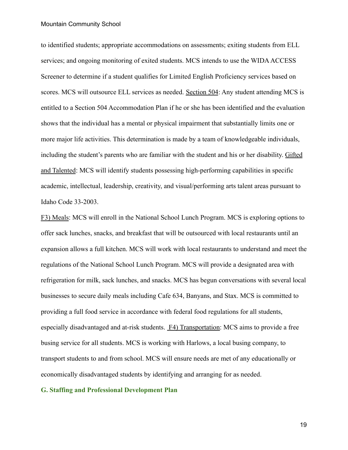to identified students; appropriate accommodations on assessments; exiting students from ELL services; and ongoing monitoring of exited students. MCS intends to use the WIDA ACCESS Screener to determine if a student qualifies for Limited English Proficiency services based on scores. MCS will outsource ELL services as needed. Section 504: Any student attending MCS is entitled to a Section 504 Accommodation Plan if he or she has been identified and the evaluation shows that the individual has a mental or physical impairment that substantially limits one or more major life activities. This determination is made by a team of knowledgeable individuals, including the student's parents who are familiar with the student and his or her disability. Gifted and Talented: MCS will identify students possessing high-performing capabilities in specific academic, intellectual, leadership, creativity, and visual/performing arts talent areas pursuant to Idaho Code 33-2003.

F3) Meals: MCS will enroll in the National School Lunch Program. MCS is exploring options to offer sack lunches, snacks, and breakfast that will be outsourced with local restaurants until an expansion allows a full kitchen. MCS will work with local restaurants to understand and meet the regulations of the National School Lunch Program. MCS will provide a designated area with refrigeration for milk, sack lunches, and snacks. MCS has begun conversations with several local businesses to secure daily meals including Cafe 634, Banyans, and Stax. MCS is committed to providing a full food service in accordance with federal food regulations for all students, especially disadvantaged and at-risk students. F4) Transportation: MCS aims to provide a free busing service for all students. MCS is working with Harlows, a local busing company, to transport students to and from school. MCS will ensure needs are met of any educationally or economically disadvantaged students by identifying and arranging for as needed.

## **G. Staffing and Professional Development Plan**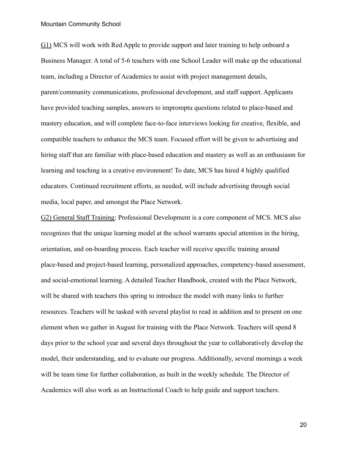G1) MCS will work with Red Apple to provide support and later training to help onboard a Business Manager. A total of 5-6 teachers with one School Leader will make up the educational team, including a Director of Academics to assist with project management details, parent/community communications, professional development, and staff support. Applicants have provided teaching samples, answers to impromptu questions related to place-based and mastery education, and will complete face-to-face interviews looking for creative, flexible, and compatible teachers to enhance the MCS team. Focused effort will be given to advertising and hiring staff that are familiar with place-based education and mastery as well as an enthusiasm for learning and teaching in a creative environment! To date, MCS has hired 4 highly qualified educators. Continued recruitment efforts, as needed, will include advertising through social media, local paper, and amongst the Place Network.

G2) General Staff Training: Professional Development is a core component of MCS. MCS also recognizes that the unique learning model at the school warrants special attention in the hiring, orientation, and on-boarding process. Each teacher will receive specific training around place-based and project-based learning, personalized approaches, competency-based assessment, and social-emotional learning. A detailed Teacher Handbook, created with the Place Network, will be shared with teachers this spring to introduce the model with many links to further resources. Teachers will be tasked with several playlist to read in addition and to present on one element when we gather in August for training with the Place Network. Teachers will spend 8 days prior to the school year and several days throughout the year to collaboratively develop the model, their understanding, and to evaluate our progress. Additionally, several mornings a week will be team time for further collaboration, as built in the weekly schedule. The Director of Academics will also work as an Instructional Coach to help guide and support teachers.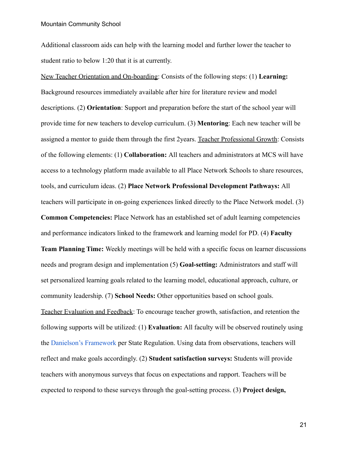Additional classroom aids can help with the learning model and further lower the teacher to student ratio to below 1:20 that it is at currently.

New Teacher Orientation and On-boarding: Consists of the following steps: (1) **Learning:** Background resources immediately available after hire for literature review and model descriptions. (2) **Orientation**: Support and preparation before the start of the school year will provide time for new teachers to develop curriculum. (3) **Mentoring**: Each new teacher will be assigned a mentor to guide them through the first 2years. Teacher Professional Growth: Consists of the following elements: (1) **Collaboration:** All teachers and administrators at MCS will have access to a technology platform made available to all Place Network Schools to share resources, tools, and curriculum ideas. (2) **Place Network Professional Development Pathways:** All teachers will participate in on-going experiences linked directly to the Place Network model. (3)

**Common Competencies:** Place Network has an established set of adult learning competencies and performance indicators linked to the framework and learning model for PD. (4) **Faculty Team Planning Time:** Weekly meetings will be held with a specific focus on learner discussions needs and program design and implementation (5) **Goal-setting:** Administrators and staff will set personalized learning goals related to the learning model, educational approach, culture, or community leadership. (7) **School Needs:** Other opportunities based on school goals. Teacher Evaluation and Feedback: To encourage teacher growth, satisfaction, and retention the following supports will be utilized: (1) **Evaluation:** All faculty will be observed routinely using the [Danielson's Framework](http://www.sde.idaho.gov/federal-programs/ed-effectiveness/files/effective-teachers/Standards-for-Effective-Teacher-and-Pupil-Personnel.pdf) per State Regulation. Using data from observations, teachers will reflect and make goals accordingly. (2) **Student satisfaction surveys:** Students will provide teachers with anonymous surveys that focus on expectations and rapport. Teachers will be expected to respond to these surveys through the goal-setting process. (3) **Project design,**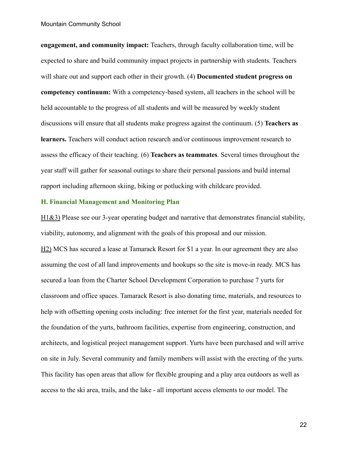**engagement, and community impact:** Teachers, through faculty collaboration time, will be expected to share and build community impact projects in partnership with students. Teachers will share out and support each other in their growth. (4) **Documented student progress on competency continuum:** With a competency-based system, all teachers in the school will be held accountable to the progress of all students and will be measured by weekly student discussions will ensure that all students make progress against the continuum. (5) **Teachers as learners.** Teachers will conduct action research and/or continuous improvement research to assess the efficacy of their teaching. (6) **Teachers as teammates**. Several times throughout the year staff will gather for seasonal outings to share their personal passions and build internal rapport including afternoon skiing, biking or potlucking with childcare provided.

## **H. Financial Management and Monitoring Plan**

H1&3) Please see our 3-year operating budget and narrative that demonstrates financial stability, viability, autonomy, and alignment with the goals of this proposal and our mission. H2) MCS has secured a lease at Tamarack Resort for \$1 a year. In our agreement they are also assuming the cost of all land improvements and hookups so the site is move-in ready. MCS has secured a loan from the Charter School Development Corporation to purchase 7 yurts for classroom and office spaces. Tamarack Resort is also donating time, materials, and resources to help with offsetting opening costs including: free internet for the first year, materials needed for the foundation of the yurts, bathroom facilities, expertise from engineering, construction, and architects, and logistical project management support. Yurts have been purchased and will arrive on site in July. Several community and family members will assist with the erecting of the yurts. This facility has open areas that allow for flexible grouping and a play area outdoors as well as access to the ski area, trails, and the lake - all important access elements to our model. The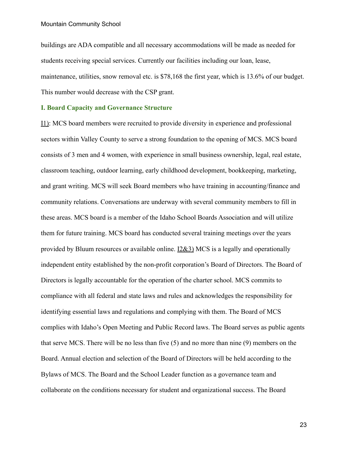buildings are ADA compatible and all necessary accommodations will be made as needed for students receiving special services. Currently our facilities including our loan, lease, maintenance, utilities, snow removal etc. is \$78,168 the first year, which is 13.6% of our budget. This number would decrease with the CSP grant.

# **I. Board Capacity and Governance Structure**

I1): MCS board members were recruited to provide diversity in experience and professional sectors within Valley County to serve a strong foundation to the opening of MCS. MCS board consists of 3 men and 4 women, with experience in small business ownership, legal, real estate, classroom teaching, outdoor learning, early childhood development, bookkeeping, marketing, and grant writing. MCS will seek Board members who have training in accounting/finance and community relations. Conversations are underway with several community members to fill in these areas. MCS board is a member of the Idaho School Boards Association and will utilize them for future training. MCS board has conducted several training meetings over the years provided by Bluum resources or available online. I2&3) MCS is a legally and operationally independent entity established by the non-profit corporation's Board of Directors. The Board of Directors is legally accountable for the operation of the charter school. MCS commits to compliance with all federal and state laws and rules and acknowledges the responsibility for identifying essential laws and regulations and complying with them. The Board of MCS complies with Idaho's Open Meeting and Public Record laws. The Board serves as public agents that serve MCS. There will be no less than five (5) and no more than nine (9) members on the Board. Annual election and selection of the Board of Directors will be held according to the Bylaws of MCS. The Board and the School Leader function as a governance team and collaborate on the conditions necessary for student and organizational success. The Board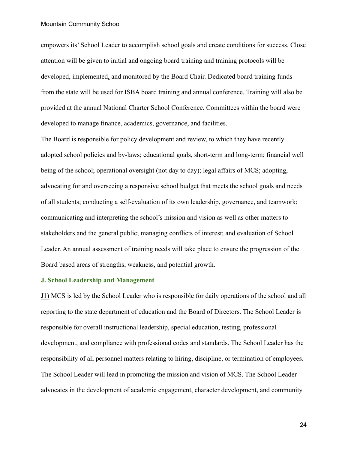empowers its' School Leader to accomplish school goals and create conditions for success. Close attention will be given to initial and ongoing board training and training protocols will be developed, implemented, and monitored by the Board Chair. Dedicated board training funds from the state will be used for ISBA board training and annual conference. Training will also be provided at the annual National Charter School Conference. Committees within the board were developed to manage finance, academics, governance, and facilities.

The Board is responsible for policy development and review, to which they have recently adopted school policies and by-laws; educational goals, short-term and long-term; financial well being of the school; operational oversight (not day to day); legal affairs of MCS; adopting, advocating for and overseeing a responsive school budget that meets the school goals and needs of all students; conducting a self-evaluation of its own leadership, governance, and teamwork; communicating and interpreting the school's mission and vision as well as other matters to stakeholders and the general public; managing conflicts of interest; and evaluation of School Leader. An annual assessment of training needs will take place to ensure the progression of the Board based areas of strengths, weakness, and potential growth.

# **J. School Leadership and Management**

J1) MCS is led by the School Leader who is responsible for daily operations of the school and all reporting to the state department of education and the Board of Directors. The School Leader is responsible for overall instructional leadership, special education, testing, professional development, and compliance with professional codes and standards. The School Leader has the responsibility of all personnel matters relating to hiring, discipline, or termination of employees. The School Leader will lead in promoting the mission and vision of MCS. The School Leader advocates in the development of academic engagement, character development, and community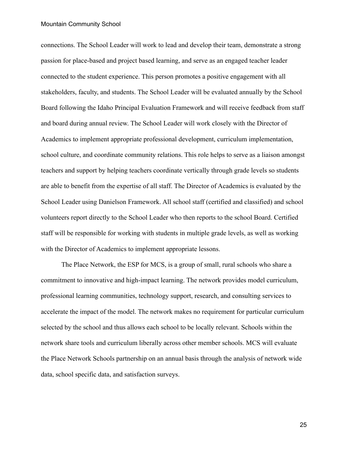connections. The School Leader will work to lead and develop their team, demonstrate a strong passion for place-based and project based learning, and serve as an engaged teacher leader connected to the student experience. This person promotes a positive engagement with all stakeholders, faculty, and students. The School Leader will be evaluated annually by the School Board following the Idaho Principal Evaluation Framework and will receive feedback from staff and board during annual review. The School Leader will work closely with the Director of Academics to implement appropriate professional development, curriculum implementation, school culture, and coordinate community relations. This role helps to serve as a liaison amongst teachers and support by helping teachers coordinate vertically through grade levels so students are able to benefit from the expertise of all staff. The Director of Academics is evaluated by the School Leader using Danielson Framework. All school staff (certified and classified) and school volunteers report directly to the School Leader who then reports to the school Board. Certified staff will be responsible for working with students in multiple grade levels, as well as working with the Director of Academics to implement appropriate lessons.

The Place Network, the ESP for MCS, is a group of small, rural schools who share a commitment to innovative and high-impact learning. The network provides model curriculum, professional learning communities, technology support, research, and consulting services to accelerate the impact of the model. The network makes no requirement for particular curriculum selected by the school and thus allows each school to be locally relevant. Schools within the network share tools and curriculum liberally across other member schools. MCS will evaluate the Place Network Schools partnership on an annual basis through the analysis of network wide data, school specific data, and satisfaction surveys.